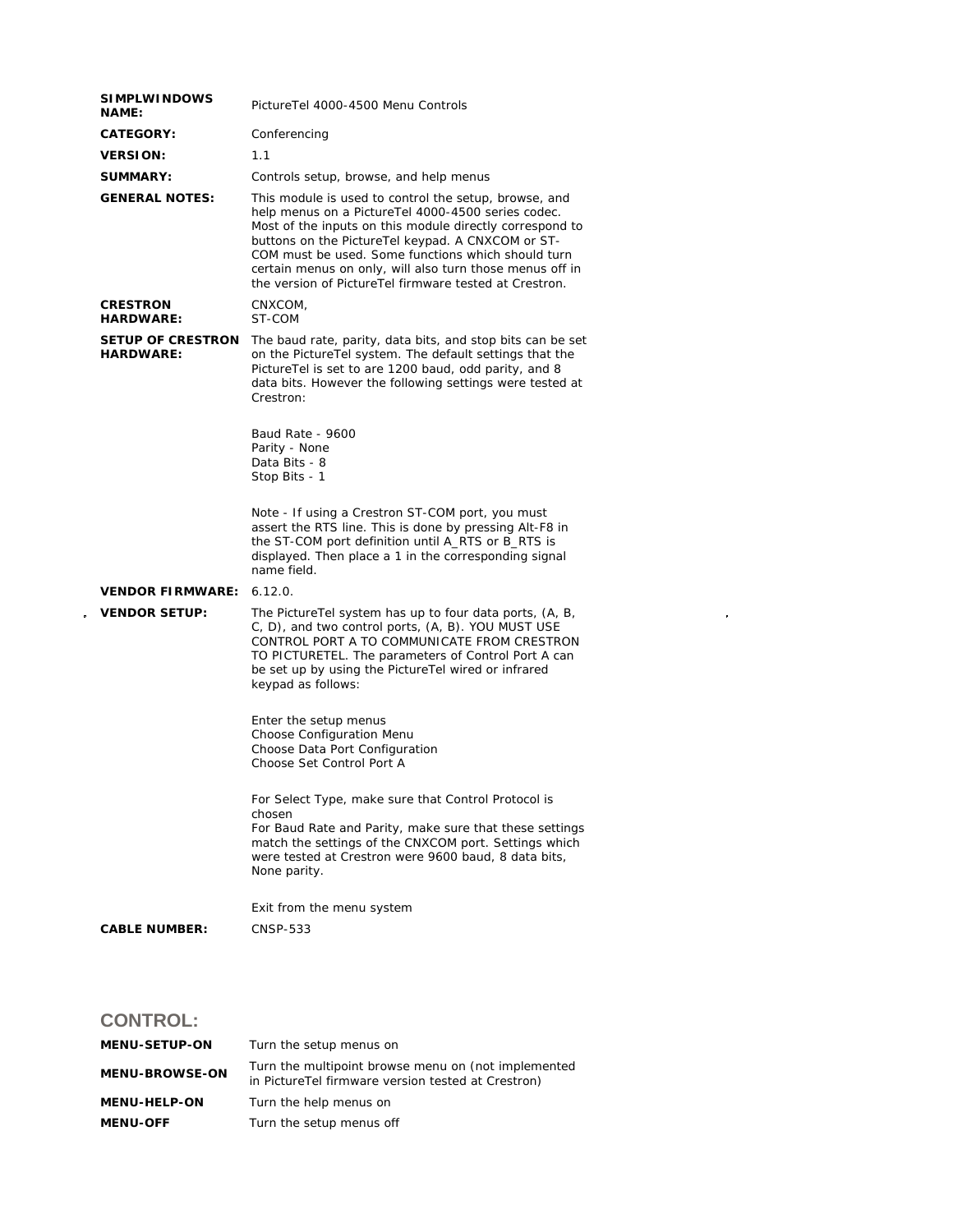| <b>SIMPLWINDOWS</b><br><b>NAME:</b>          | PictureTel 4000-4500 Menu Controls                                                                                                                                                                                                                                                                                                                                                                       |
|----------------------------------------------|----------------------------------------------------------------------------------------------------------------------------------------------------------------------------------------------------------------------------------------------------------------------------------------------------------------------------------------------------------------------------------------------------------|
| <b>CATEGORY:</b>                             | Conferencing                                                                                                                                                                                                                                                                                                                                                                                             |
| <b>VERSION:</b>                              | 1.1                                                                                                                                                                                                                                                                                                                                                                                                      |
| <b>SUMMARY:</b>                              | Controls setup, browse, and help menus                                                                                                                                                                                                                                                                                                                                                                   |
| <b>GENERAL NOTES:</b>                        | This module is used to control the setup, browse, and<br>help menus on a PictureTel 4000-4500 series codec.<br>Most of the inputs on this module directly correspond to<br>buttons on the PictureTel keypad. A CNXCOM or ST-<br>COM must be used. Some functions which should turn<br>certain menus on only, will also turn those menus off in<br>the version of PictureTel firmware tested at Crestron. |
| <b>CRESTRON</b><br><b>HARDWARE:</b>          | CNXCOM,<br>ST-COM                                                                                                                                                                                                                                                                                                                                                                                        |
| <b>SETUP OF CRESTRON</b><br><b>HARDWARE:</b> | The baud rate, parity, data bits, and stop bits can be set<br>on the PictureTel system. The default settings that the<br>PictureTel is set to are 1200 baud, odd parity, and 8<br>data bits. However the following settings were tested at<br>Crestron:<br>Baud Rate - 9600                                                                                                                              |
|                                              | Parity - None<br>Data Bits - 8<br>Stop Bits - 1<br>Note - If using a Crestron ST-COM port, you must                                                                                                                                                                                                                                                                                                      |
|                                              | assert the RTS line. This is done by pressing Alt-F8 in<br>the ST-COM port definition until A RTS or B RTS is<br>displayed. Then place a 1 in the corresponding signal<br>name field.                                                                                                                                                                                                                    |
| <b>VENDOR FIRMWARE:</b>                      | 6.12.0.                                                                                                                                                                                                                                                                                                                                                                                                  |
| <b>VENDOR SETUP:</b>                         | The Picture Tel system has up to four data ports, (A, B,<br>C, D), and two control ports, (A, B). YOU MUST USE<br>CONTROL PORT A TO COMMUNICATE FROM CRESTRON<br>TO PICTURETEL. The parameters of Control Port A can<br>be set up by using the PictureTel wired or infrared<br>keypad as follows:                                                                                                        |
|                                              | Enter the setup menus<br>Choose Configuration Menu<br>Choose Data Port Configuration<br>Choose Set Control Port A                                                                                                                                                                                                                                                                                        |
|                                              | For Select Type, make sure that Control Protocol is<br>chosen<br>For Baud Rate and Parity, make sure that these settings<br>match the settings of the CNXCOM port. Settings which<br>were tested at Crestron were 9600 baud, 8 data bits,<br>None parity.                                                                                                                                                |
|                                              | Exit from the menu system                                                                                                                                                                                                                                                                                                                                                                                |
| <b>CABLE NUMBER:</b>                         | CNSP-533                                                                                                                                                                                                                                                                                                                                                                                                 |

 $\label{eq:2.1} \frac{1}{\sqrt{2}}\int_{\mathbb{R}^3}\frac{1}{\sqrt{2}}\left(\frac{1}{\sqrt{2}}\right)^2\frac{1}{\sqrt{2}}\left(\frac{1}{\sqrt{2}}\right)^2\frac{1}{\sqrt{2}}\left(\frac{1}{\sqrt{2}}\right)^2\frac{1}{\sqrt{2}}\left(\frac{1}{\sqrt{2}}\right)^2.$ 

## **CONTROL:**

| <b>MENU-SETUP-ON</b>  | Turn the setup menus on                                                                                   |
|-----------------------|-----------------------------------------------------------------------------------------------------------|
| <b>MENU-BROWSE-ON</b> | Turn the multipoint browse menu on (not implemented<br>in PictureTel firmware version tested at Crestron) |
| <b>MENU-HELP-ON</b>   | Turn the help menus on                                                                                    |
| <b>MENU-OFF</b>       | Turn the setup menus off                                                                                  |